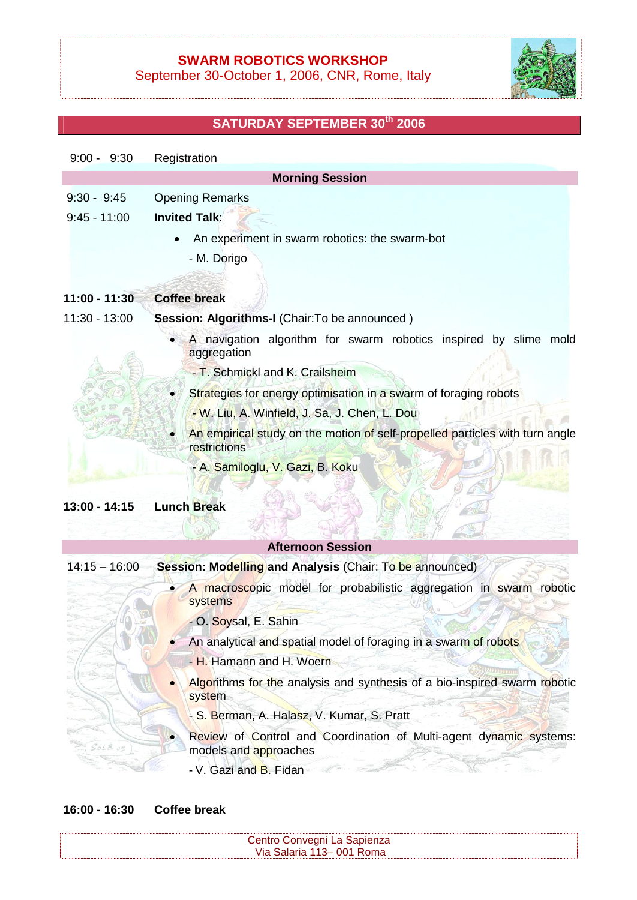## **SWARM ROBOTICS WORKSHOP**

September 30-October 1, 2006, CNR, Rome, Italy



## **SATURDAY SEPTEMBER 30 th 2006**

| $9:00 - 9:30$   | Registration                                                                                 |
|-----------------|----------------------------------------------------------------------------------------------|
|                 | <b>Morning Session</b>                                                                       |
| $9:30 - 9:45$   | <b>Opening Remarks</b>                                                                       |
| $9:45 - 11:00$  | <b>Invited Talk:</b>                                                                         |
|                 | An experiment in swarm robotics: the swarm-bot                                               |
|                 | - M. Dorigo                                                                                  |
| $11:00 - 11:30$ | <b>Coffee break</b>                                                                          |
| 11:30 - 13:00   | Session: Algorithms-I (Chair: To be announced)                                               |
|                 | A navigation algorithm for swarm robotics inspired by slime mold<br>aggregation              |
|                 | - T. Schmickl and K. Crailsheim                                                              |
|                 | Strategies for energy optimisation in a swarm of foraging robots                             |
|                 | - W. Liu, A. Winfield, J. Sa, J. Chen, L. Dou                                                |
|                 | An empirical study on the motion of self-propelled particles with turn angle<br>restrictions |
|                 | - A. Samiloglu, V. Gazi, B. Koku                                                             |
| 13:00 - 14:15   | <b>Lunch Break</b>                                                                           |
|                 |                                                                                              |

|                 | <b>Afternoon Session</b>                                                                    |
|-----------------|---------------------------------------------------------------------------------------------|
| $14:15 - 16:00$ | Session: Modelling and Analysis (Chair: To be announced)                                    |
|                 | A macroscopic model for probabilistic aggregation in swarm robotic<br>systems               |
|                 | - O. Soysal, E. Sahin                                                                       |
|                 | An analytical and spatial model of foraging in a swarm of robots                            |
|                 | - H. Hamann and H. Woern                                                                    |
|                 | Algorithms for the analysis and synthesis of a bio-inspired swarm robotic<br>system         |
|                 | - S. Berman, A. Halasz, V. Kumar, S. Pratt                                                  |
| $SolE$ $os$     | Review of Control and Coordination of Multi-agent dynamic systems:<br>models and approaches |
|                 | - V. Gazi and B. Fidan                                                                      |

## **16:00 - 16:30 Coffee break**

| Centro Convegni La Sapienza |  |
|-----------------------------|--|
| Via Salaria 113–001 Roma    |  |
|                             |  |